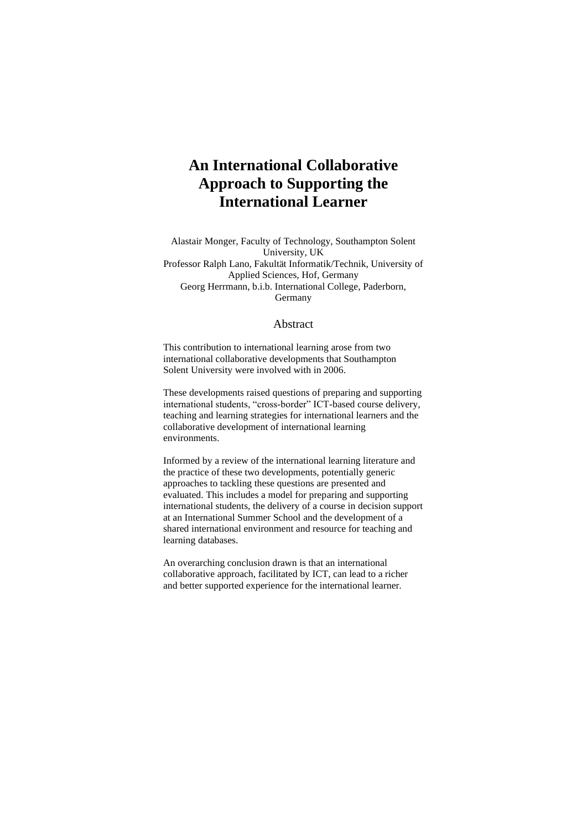# **An International Collaborative Approach to Supporting the International Learner**

Alastair Monger, Faculty of Technology, Southampton Solent University, UK Professor Ralph Lano, Fakultät Informatik/Technik, University of Applied Sciences, Hof, Germany Georg Herrmann, b.i.b. International College, Paderborn, Germany

#### Abstract

This contribution to international learning arose from two international collaborative developments that Southampton Solent University were involved with in 2006.

These developments raised questions of preparing and supporting international students, "cross-border" ICT-based course delivery, teaching and learning strategies for international learners and the collaborative development of international learning environments.

Informed by a review of the international learning literature and the practice of these two developments, potentially generic approaches to tackling these questions are presented and evaluated. This includes a model for preparing and supporting international students, the delivery of a course in decision support at an International Summer School and the development of a shared international environment and resource for teaching and learning databases.

An overarching conclusion drawn is that an international collaborative approach, facilitated by ICT, can lead to a richer and better supported experience for the international learner.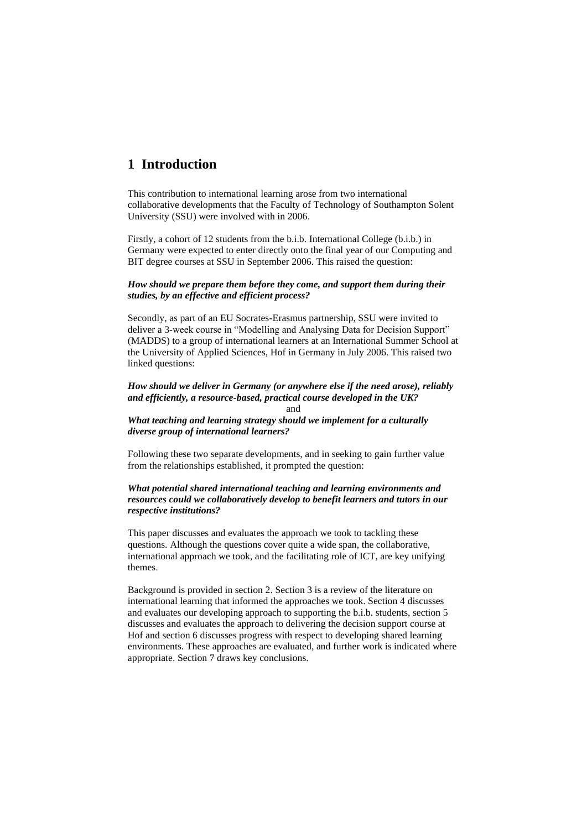## **1 Introduction**

This contribution to international learning arose from two international collaborative developments that the Faculty of Technology of Southampton Solent University (SSU) were involved with in 2006.

Firstly, a cohort of 12 students from the b.i.b. International College (b.i.b.) in Germany were expected to enter directly onto the final year of our Computing and BIT degree courses at SSU in September 2006. This raised the question:

### *How should we prepare them before they come, and support them during their studies, by an effective and efficient process?*

Secondly, as part of an EU Socrates-Erasmus partnership, SSU were invited to deliver a 3-week course in "Modelling and Analysing Data for Decision Support" (MADDS) to a group of international learners at an International Summer School at the University of Applied Sciences, Hof in Germany in July 2006. This raised two linked questions:

#### *How should we deliver in Germany (or anywhere else if the need arose), reliably and efficiently, a resource-based, practical course developed in the UK?* and

*What teaching and learning strategy should we implement for a culturally diverse group of international learners?*

Following these two separate developments, and in seeking to gain further value from the relationships established, it prompted the question:

### *What potential shared international teaching and learning environments and resources could we collaboratively develop to benefit learners and tutors in our respective institutions?*

This paper discusses and evaluates the approach we took to tackling these questions. Although the questions cover quite a wide span, the collaborative, international approach we took, and the facilitating role of ICT, are key unifying themes.

Background is provided in section 2. Section 3 is a review of the literature on international learning that informed the approaches we took. Section 4 discusses and evaluates our developing approach to supporting the b.i.b. students, section 5 discusses and evaluates the approach to delivering the decision support course at Hof and section 6 discusses progress with respect to developing shared learning environments. These approaches are evaluated, and further work is indicated where appropriate. Section 7 draws key conclusions.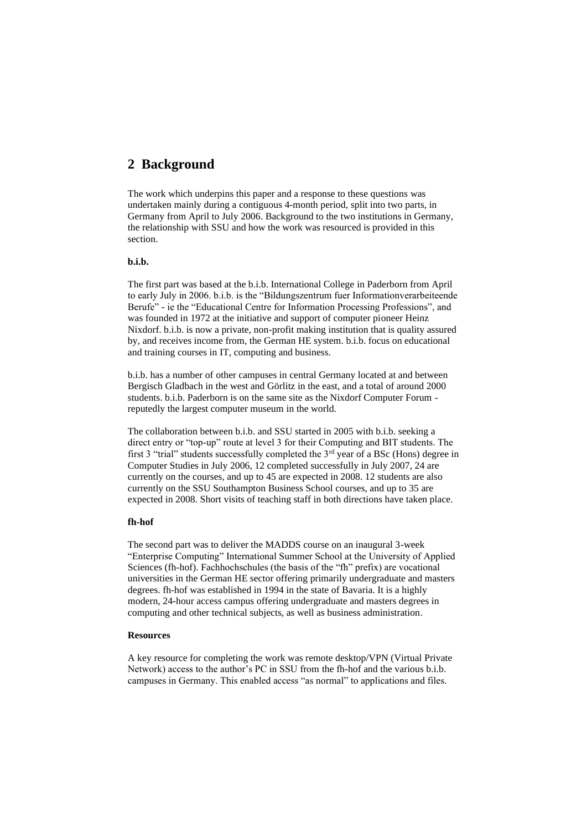## **2 Background**

The work which underpins this paper and a response to these questions was undertaken mainly during a contiguous 4-month period, split into two parts, in Germany from April to July 2006. Background to the two institutions in Germany, the relationship with SSU and how the work was resourced is provided in this section.

### **b.i.b.**

The first part was based at the b.i.b. International College in Paderborn from April to early July in 2006. b.i.b. is the "Bildungszentrum fuer Informationverarbeiteende Berufe" - ie the "Educational Centre for Information Processing Professions", and was founded in 1972 at the initiative and support of computer pioneer Heinz Nixdorf. b.i.b. is now a private, non-profit making institution that is quality assured by, and receives income from, the German HE system. b.i.b. focus on educational and training courses in IT, computing and business.

b.i.b. has a number of other campuses in central Germany located at and between Bergisch Gladbach in the west and Görlitz in the east, and a total of around 2000 students. b.i.b. Paderborn is on the same site as the Nixdorf Computer Forum reputedly the largest computer museum in the world.

The collaboration between b.i.b. and SSU started in 2005 with b.i.b. seeking a direct entry or "top-up" route at level 3 for their Computing and BIT students. The first 3 "trial" students successfully completed the 3<sup>rd</sup> year of a BSc (Hons) degree in Computer Studies in July 2006, 12 completed successfully in July 2007, 24 are currently on the courses, and up to 45 are expected in 2008. 12 students are also currently on the SSU Southampton Business School courses, and up to 35 are expected in 2008. Short visits of teaching staff in both directions have taken place.

#### **fh-hof**

The second part was to deliver the MADDS course on an inaugural 3-week "Enterprise Computing" International Summer School at the University of Applied Sciences (fh-hof). Fachhochschules (the basis of the "fh" prefix) are vocational universities in the German HE sector offering primarily undergraduate and masters degrees. fh-hof was established in 1994 in the state of Bavaria. It is a highly modern, 24-hour access campus offering undergraduate and masters degrees in computing and other technical subjects, as well as business administration.

#### **Resources**

A key resource for completing the work was remote desktop/VPN (Virtual Private Network) access to the author's PC in SSU from the fh-hof and the various b.i.b. campuses in Germany. This enabled access "as normal" to applications and files.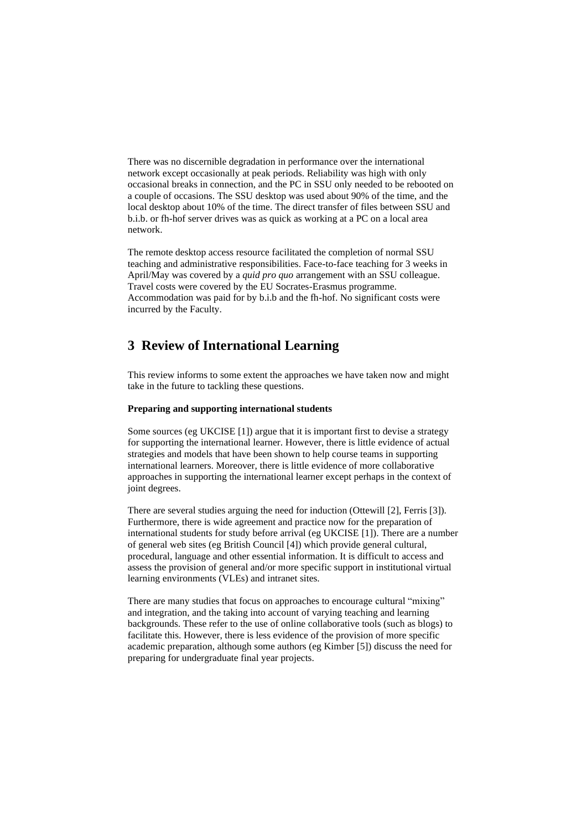There was no discernible degradation in performance over the international network except occasionally at peak periods. Reliability was high with only occasional breaks in connection, and the PC in SSU only needed to be rebooted on a couple of occasions. The SSU desktop was used about 90% of the time, and the local desktop about 10% of the time. The direct transfer of files between SSU and b.i.b. or fh-hof server drives was as quick as working at a PC on a local area network.

The remote desktop access resource facilitated the completion of normal SSU teaching and administrative responsibilities. Face-to-face teaching for 3 weeks in April/May was covered by a *quid pro quo* arrangement with an SSU colleague. Travel costs were covered by the EU Socrates-Erasmus programme. Accommodation was paid for by b.i.b and the fh-hof. No significant costs were incurred by the Faculty.

## **3 Review of International Learning**

This review informs to some extent the approaches we have taken now and might take in the future to tackling these questions.

#### **Preparing and supporting international students**

Some sources (eg UKCISE [1]) argue that it is important first to devise a strategy for supporting the international learner. However, there is little evidence of actual strategies and models that have been shown to help course teams in supporting international learners. Moreover, there is little evidence of more collaborative approaches in supporting the international learner except perhaps in the context of joint degrees.

There are several studies arguing the need for induction (Ottewill [2], Ferris [3]). Furthermore, there is wide agreement and practice now for the preparation of international students for study before arrival (eg UKCISE [1]). There are a number of general web sites (eg British Council [4]) which provide general cultural, procedural, language and other essential information. It is difficult to access and assess the provision of general and/or more specific support in institutional virtual learning environments (VLEs) and intranet sites.

There are many studies that focus on approaches to encourage cultural "mixing" and integration, and the taking into account of varying teaching and learning backgrounds. These refer to the use of online collaborative tools (such as blogs) to facilitate this. However, there is less evidence of the provision of more specific academic preparation, although some authors (eg Kimber [5]) discuss the need for preparing for undergraduate final year projects.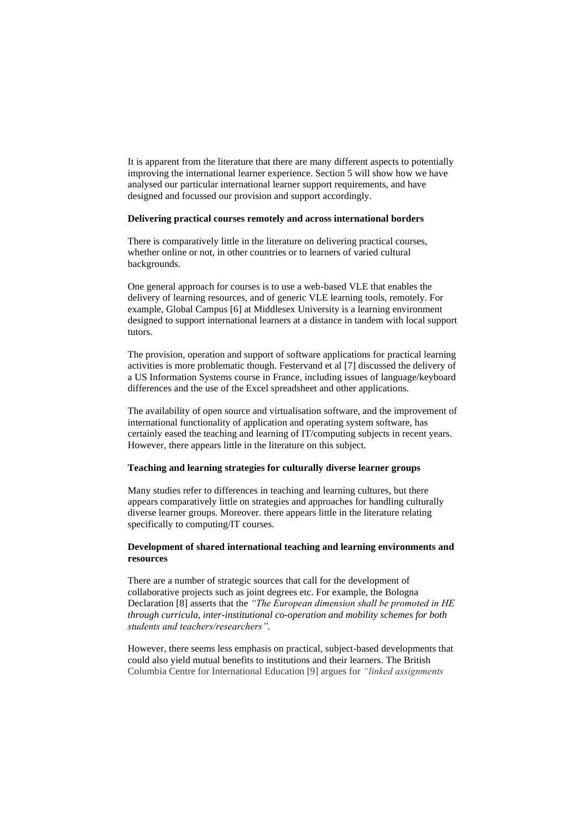It is apparent from the literature that there are many different aspects to potentially improving the international learner experience. Section 5 will show how we have analysed our particular international learner support requirements, and have designed and focussed our provision and support accordingly.

#### **Delivering practical courses remotely and across international borders**

There is comparatively little in the literature on delivering practical courses, whether online or not, in other countries or to learners of varied cultural backgrounds.

One general approach for courses is to use a web-based VLE that enables the delivery of learning resources, and of generic VLE learning tools, remotely. For example, Global Campus [6] at Middlesex University is a learning environment designed to support international learners at a distance in tandem with local support tutors.

The provision, operation and support of software applications for practical learning activities is more problematic though. Festervand et al [7] discussed the delivery of a US Information Systems course in France, including issues of language/keyboard differences and the use of the Excel spreadsheet and other applications.

The availability of open source and virtualisation software, and the improvement of international functionality of application and operating system software, has certainly eased the teaching and learning of IT/computing subjects in recent years. However, there appears little in the literature on this subject.

### **Teaching and learning strategies for culturally diverse learner groups**

Many studies refer to differences in teaching and learning cultures, but there appears comparatively little on strategies and approaches for handling culturally diverse learner groups. Moreover. there appears little in the literature relating specifically to computing/IT courses.

### **Development of shared international teaching and learning environments and resources**

There are a number of strategic sources that call for the development of collaborative projects such as joint degrees etc. For example, the Bologna Declaration [8] asserts that the *"The European dimension shall be promoted in HE through curricula, inter-institutional co-operation and mobility schemes for both students and teachers/researchers".*

However, there seems less emphasis on practical, subject-based developments that could also yield mutual benefits to institutions and their learners. The British Columbia Centre for International Education [9] argues for *"linked assignments*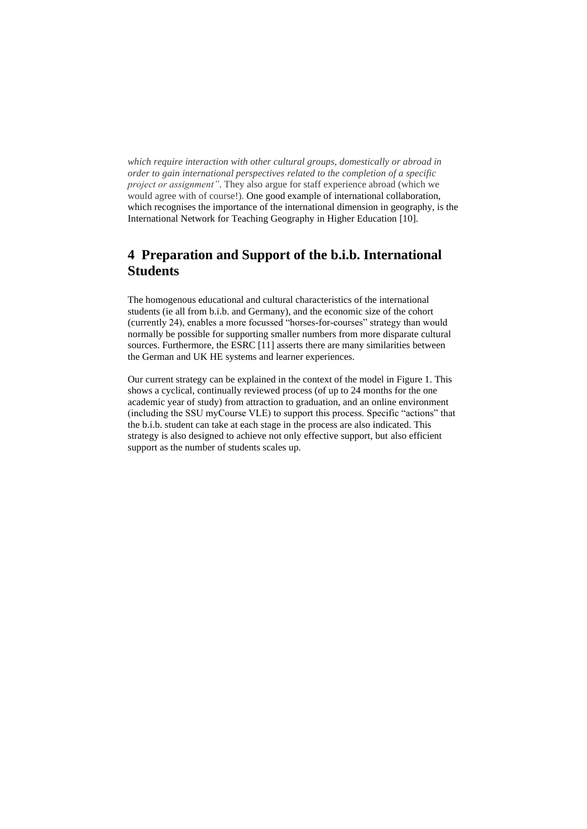*which require interaction with other cultural groups, domestically or abroad in order to gain international perspectives related to the completion of a specific project or assignment"*. They also argue for staff experience abroad (which we would agree with of course!). One good example of international collaboration, which recognises the importance of the international dimension in geography, is the International Network for Teaching Geography in Higher Education [10].

## **4 Preparation and Support of the b.i.b. International Students**

The homogenous educational and cultural characteristics of the international students (ie all from b.i.b. and Germany), and the economic size of the cohort (currently 24), enables a more focussed "horses-for-courses" strategy than would normally be possible for supporting smaller numbers from more disparate cultural sources. Furthermore, the ESRC [11] asserts there are many similarities between the German and UK HE systems and learner experiences.

Our current strategy can be explained in the context of the model in Figure 1. This shows a cyclical, continually reviewed process (of up to 24 months for the one academic year of study) from attraction to graduation, and an online environment (including the SSU myCourse VLE) to support this process. Specific "actions" that the b.i.b. student can take at each stage in the process are also indicated. This strategy is also designed to achieve not only effective support, but also efficient support as the number of students scales up.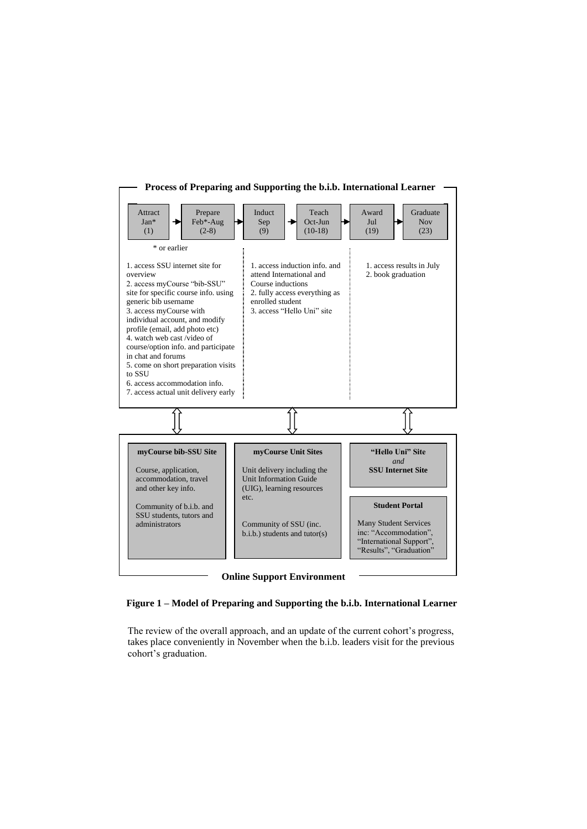

**Figure 1 – Model of Preparing and Supporting the b.i.b. International Learner**

The review of the overall approach, and an update of the current cohort's progress, takes place conveniently in November when the b.i.b. leaders visit for the previous cohort's graduation.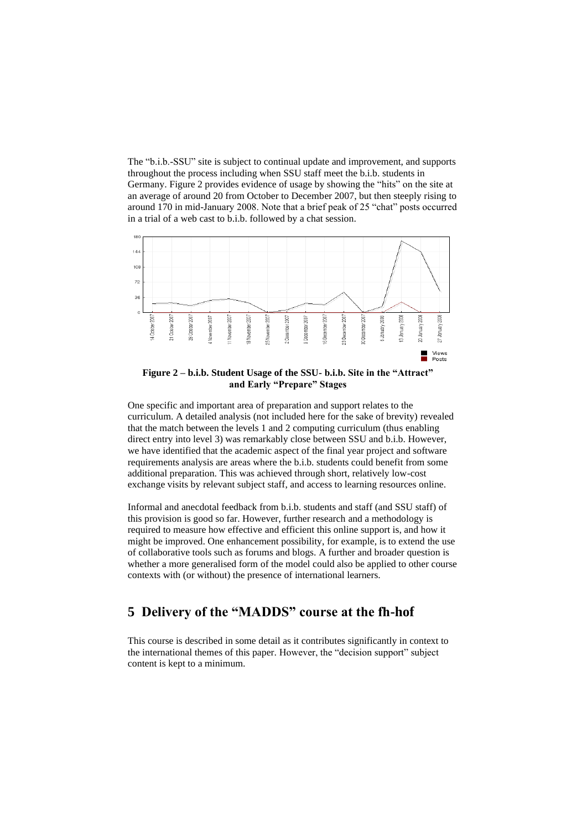The "b.i.b.-SSU" site is subject to continual update and improvement, and supports throughout the process including when SSU staff meet the b.i.b. students in Germany. Figure 2 provides evidence of usage by showing the "hits" on the site at an average of around 20 from October to December 2007, but then steeply rising to around 170 in mid-January 2008. Note that a brief peak of 25 "chat" posts occurred in a trial of a web cast to b.i.b. followed by a chat session.



**Figure 2 – b.i.b. Student Usage of the SSU- b.i.b. Site in the "Attract" and Early "Prepare" Stages**

One specific and important area of preparation and support relates to the curriculum. A detailed analysis (not included here for the sake of brevity) revealed that the match between the levels 1 and 2 computing curriculum (thus enabling direct entry into level 3) was remarkably close between SSU and b.i.b. However, we have identified that the academic aspect of the final year project and software requirements analysis are areas where the b.i.b. students could benefit from some additional preparation. This was achieved through short, relatively low-cost exchange visits by relevant subject staff, and access to learning resources online.

Informal and anecdotal feedback from b.i.b. students and staff (and SSU staff) of this provision is good so far. However, further research and a methodology is required to measure how effective and efficient this online support is, and how it might be improved. One enhancement possibility, for example, is to extend the use of collaborative tools such as forums and blogs. A further and broader question is whether a more generalised form of the model could also be applied to other course contexts with (or without) the presence of international learners.

## **5 Delivery of the "MADDS" course at the fh-hof**

This course is described in some detail as it contributes significantly in context to the international themes of this paper. However, the "decision support" subject content is kept to a minimum.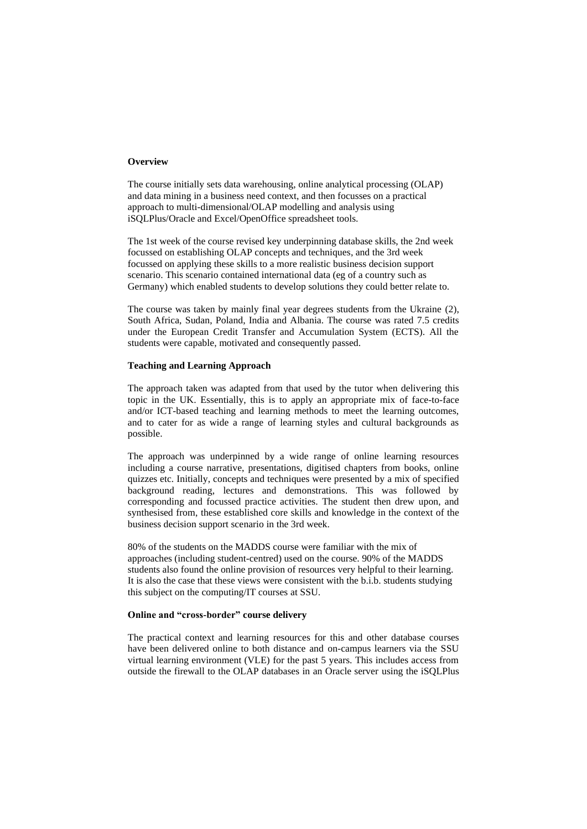#### **Overview**

The course initially sets data warehousing, online analytical processing (OLAP) and data mining in a business need context, and then focusses on a practical approach to multi-dimensional/OLAP modelling and analysis using iSQLPlus/Oracle and Excel/OpenOffice spreadsheet tools.

The 1st week of the course revised key underpinning database skills, the 2nd week focussed on establishing OLAP concepts and techniques, and the 3rd week focussed on applying these skills to a more realistic business decision support scenario. This scenario contained international data (eg of a country such as Germany) which enabled students to develop solutions they could better relate to.

The course was taken by mainly final year degrees students from the Ukraine (2), South Africa, Sudan, Poland, India and Albania. The course was rated 7.5 credits under the European Credit Transfer and Accumulation System (ECTS). All the students were capable, motivated and consequently passed.

#### **Teaching and Learning Approach**

The approach taken was adapted from that used by the tutor when delivering this topic in the UK. Essentially, this is to apply an appropriate mix of face-to-face and/or ICT-based teaching and learning methods to meet the learning outcomes, and to cater for as wide a range of learning styles and cultural backgrounds as possible.

The approach was underpinned by a wide range of online learning resources including a course narrative, presentations, digitised chapters from books, online quizzes etc. Initially, concepts and techniques were presented by a mix of specified background reading, lectures and demonstrations. This was followed by corresponding and focussed practice activities. The student then drew upon, and synthesised from, these established core skills and knowledge in the context of the business decision support scenario in the 3rd week.

80% of the students on the MADDS course were familiar with the mix of approaches (including student-centred) used on the course. 90% of the MADDS students also found the online provision of resources very helpful to their learning. It is also the case that these views were consistent with the b.i.b. students studying this subject on the computing/IT courses at SSU.

### **Online and "cross-border" course delivery**

The practical context and learning resources for this and other database courses have been delivered online to both distance and on-campus learners via the SSU virtual learning environment (VLE) for the past 5 years. This includes access from outside the firewall to the OLAP databases in an Oracle server using the iSQLPlus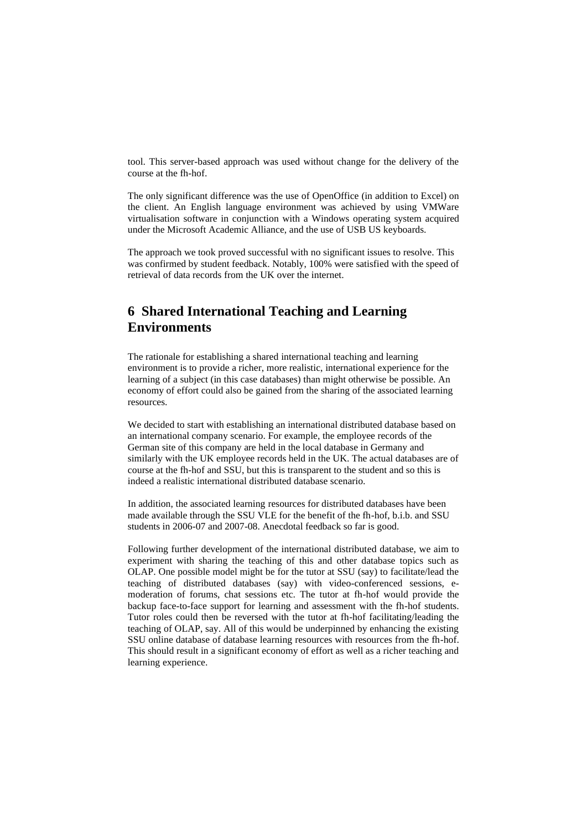tool. This server-based approach was used without change for the delivery of the course at the fh-hof.

The only significant difference was the use of OpenOffice (in addition to Excel) on the client. An English language environment was achieved by using VMWare virtualisation software in conjunction with a Windows operating system acquired under the Microsoft Academic Alliance, and the use of USB US keyboards.

The approach we took proved successful with no significant issues to resolve. This was confirmed by student feedback. Notably, 100% were satisfied with the speed of retrieval of data records from the UK over the internet.

## **6 Shared International Teaching and Learning Environments**

The rationale for establishing a shared international teaching and learning environment is to provide a richer, more realistic, international experience for the learning of a subject (in this case databases) than might otherwise be possible. An economy of effort could also be gained from the sharing of the associated learning resources.

We decided to start with establishing an international distributed database based on an international company scenario. For example, the employee records of the German site of this company are held in the local database in Germany and similarly with the UK employee records held in the UK. The actual databases are of course at the fh-hof and SSU, but this is transparent to the student and so this is indeed a realistic international distributed database scenario.

In addition, the associated learning resources for distributed databases have been made available through the SSU VLE for the benefit of the fh-hof, b.i.b. and SSU students in 2006-07 and 2007-08. Anecdotal feedback so far is good.

Following further development of the international distributed database, we aim to experiment with sharing the teaching of this and other database topics such as OLAP. One possible model might be for the tutor at SSU (say) to facilitate/lead the teaching of distributed databases (say) with video-conferenced sessions, emoderation of forums, chat sessions etc. The tutor at fh-hof would provide the backup face-to-face support for learning and assessment with the fh-hof students. Tutor roles could then be reversed with the tutor at fh-hof facilitating/leading the teaching of OLAP, say. All of this would be underpinned by enhancing the existing SSU online database of database learning resources with resources from the fh-hof. This should result in a significant economy of effort as well as a richer teaching and learning experience.